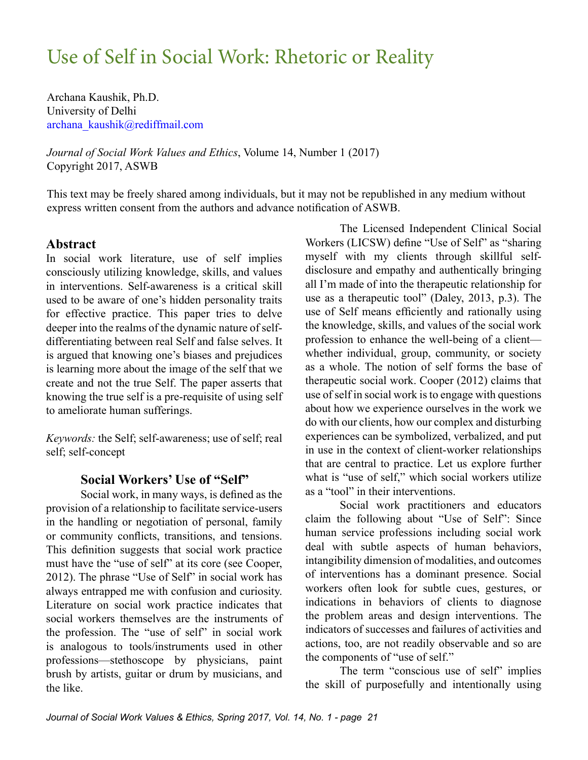Archana Kaushik, Ph.D. University of Delhi [archana\\_kaushik@rediffmail.com](mailto:archana_kaushik@rediffmail.com)

*Journal of Social Work Values and Ethics*, Volume 14, Number 1 (2017) Copyright 2017, ASWB

This text may be freely shared among individuals, but it may not be republished in any medium without express written consent from the authors and advance notification of ASWB.

## **Abstract**

In social work literature, use of self implies consciously utilizing knowledge, skills, and values in interventions. Self-awareness is a critical skill used to be aware of one's hidden personality traits for effective practice. This paper tries to delve deeper into the realms of the dynamic nature of selfdifferentiating between real Self and false selves. It is argued that knowing one's biases and prejudices is learning more about the image of the self that we create and not the true Self. The paper asserts that knowing the true self is a pre-requisite of using self to ameliorate human sufferings.

*Keywords:* the Self; self-awareness; use of self; real self; self-concept

# **Social Workers' Use of "Self"**

Social work, in many ways, is defined as the provision of a relationship to facilitate service-users in the handling or negotiation of personal, family or community conflicts, transitions, and tensions. This definition suggests that social work practice must have the "use of self" at its core (see Cooper, 2012). The phrase "Use of Self" in social work has always entrapped me with confusion and curiosity. Literature on social work practice indicates that social workers themselves are the instruments of the profession. The "use of self" in social work is analogous to tools/instruments used in other professions—stethoscope by physicians, paint brush by artists, guitar or drum by musicians, and the like.

The Licensed Independent Clinical Social Workers (LICSW) define "Use of Self" as "sharing myself with my clients through skillful selfdisclosure and empathy and authentically bringing all I'm made of into the therapeutic relationship for use as a therapeutic tool" (Daley, 2013, p.3). The use of Self means efficiently and rationally using the knowledge, skills, and values of the social work profession to enhance the well-being of a client whether individual, group, community, or society as a whole. The notion of self forms the base of therapeutic social work. Cooper (2012) claims that use of self in social work is to engage with questions about how we experience ourselves in the work we do with our clients, how our complex and disturbing experiences can be symbolized, verbalized, and put in use in the context of client-worker relationships that are central to practice. Let us explore further what is "use of self," which social workers utilize as a "tool" in their interventions.

Social work practitioners and educators claim the following about "Use of Self": Since human service professions including social work deal with subtle aspects of human behaviors, intangibility dimension of modalities, and outcomes of interventions has a dominant presence. Social workers often look for subtle cues, gestures, or indications in behaviors of clients to diagnose the problem areas and design interventions. The indicators of successes and failures of activities and actions, too, are not readily observable and so are the components of "use of self."

The term "conscious use of self" implies the skill of purposefully and intentionally using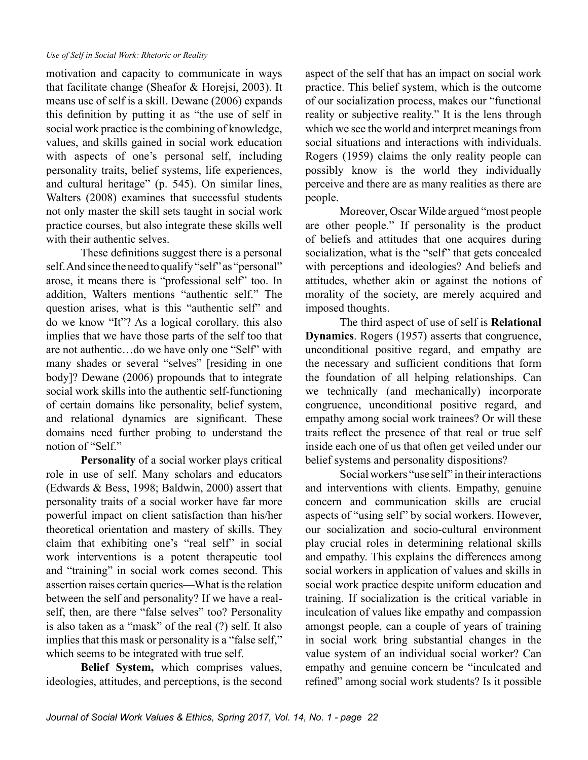motivation and capacity to communicate in ways that facilitate change (Sheafor & Horejsi, 2003). It means use of self is a skill. Dewane (2006) expands this definition by putting it as "the use of self in social work practice is the combining of knowledge, values, and skills gained in social work education with aspects of one's personal self, including personality traits, belief systems, life experiences, and cultural heritage" (p. 545). On similar lines, Walters (2008) examines that successful students not only master the skill sets taught in social work practice courses, but also integrate these skills well with their authentic selves.

These definitions suggest there is a personal self. And since the need to qualify "self" as "personal" arose, it means there is "professional self" too. In addition, Walters mentions "authentic self." The question arises, what is this "authentic self" and do we know "It"? As a logical corollary, this also implies that we have those parts of the self too that are not authentic…do we have only one "Self" with many shades or several "selves" [residing in one body]? Dewane (2006) propounds that to integrate social work skills into the authentic self-functioning of certain domains like personality, belief system, and relational dynamics are significant. These domains need further probing to understand the notion of "Self."

**Personality** of a social worker plays critical role in use of self. Many scholars and educators (Edwards & Bess, 1998; Baldwin, 2000) assert that personality traits of a social worker have far more powerful impact on client satisfaction than his/her theoretical orientation and mastery of skills. They claim that exhibiting one's "real self" in social work interventions is a potent therapeutic tool and "training" in social work comes second. This assertion raises certain queries—What is the relation between the self and personality? If we have a realself, then, are there "false selves" too? Personality is also taken as a "mask" of the real (?) self. It also implies that this mask or personality is a "false self," which seems to be integrated with true self.

**Belief System,** which comprises values, ideologies, attitudes, and perceptions, is the second

aspect of the self that has an impact on social work practice. This belief system, which is the outcome of our socialization process, makes our "functional reality or subjective reality." It is the lens through which we see the world and interpret meanings from social situations and interactions with individuals. Rogers (1959) claims the only reality people can possibly know is the world they individually perceive and there are as many realities as there are people.

Moreover, Oscar Wilde argued "most people are other people." If personality is the product of beliefs and attitudes that one acquires during socialization, what is the "self" that gets concealed with perceptions and ideologies? And beliefs and attitudes, whether akin or against the notions of morality of the society, are merely acquired and imposed thoughts.

The third aspect of use of self is **Relational Dynamics**. Rogers (1957) asserts that congruence, unconditional positive regard, and empathy are the necessary and sufficient conditions that form the foundation of all helping relationships. Can we technically (and mechanically) incorporate congruence, unconditional positive regard, and empathy among social work trainees? Or will these traits reflect the presence of that real or true self inside each one of us that often get veiled under our belief systems and personality dispositions?

Social workers "use self" in their interactions and interventions with clients. Empathy, genuine concern and communication skills are crucial aspects of "using self" by social workers. However, our socialization and socio-cultural environment play crucial roles in determining relational skills and empathy. This explains the differences among social workers in application of values and skills in social work practice despite uniform education and training. If socialization is the critical variable in inculcation of values like empathy and compassion amongst people, can a couple of years of training in social work bring substantial changes in the value system of an individual social worker? Can empathy and genuine concern be "inculcated and refined" among social work students? Is it possible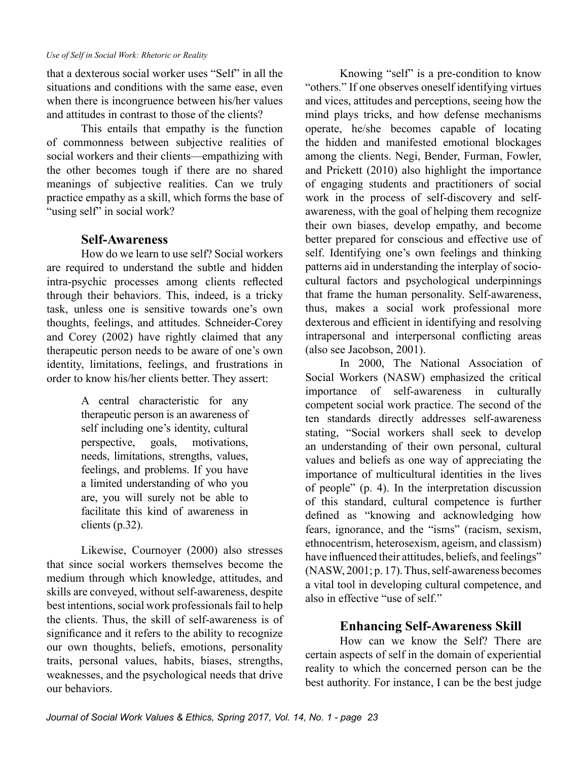that a dexterous social worker uses "Self" in all the situations and conditions with the same ease, even when there is incongruence between his/her values and attitudes in contrast to those of the clients?

This entails that empathy is the function of commonness between subjective realities of social workers and their clients—empathizing with the other becomes tough if there are no shared meanings of subjective realities. Can we truly practice empathy as a skill, which forms the base of "using self" in social work?

## **Self-Awareness**

How do we learn to use self? Social workers are required to understand the subtle and hidden intra-psychic processes among clients reflected through their behaviors. This, indeed, is a tricky task, unless one is sensitive towards one's own thoughts, feelings, and attitudes. Schneider-Corey and Corey (2002) have rightly claimed that any therapeutic person needs to be aware of one's own identity, limitations, feelings, and frustrations in order to know his/her clients better. They assert:

> A central characteristic for any therapeutic person is an awareness of self including one's identity, cultural perspective, goals, motivations, needs, limitations, strengths, values, feelings, and problems. If you have a limited understanding of who you are, you will surely not be able to facilitate this kind of awareness in clients (p.32).

Likewise, Cournoyer (2000) also stresses that since social workers themselves become the medium through which knowledge, attitudes, and skills are conveyed, without self-awareness, despite best intentions, social work professionals fail to help the clients. Thus, the skill of self-awareness is of significance and it refers to the ability to recognize our own thoughts, beliefs, emotions, personality traits, personal values, habits, biases, strengths, weaknesses, and the psychological needs that drive our behaviors.

Knowing "self" is a pre-condition to know "others." If one observes oneself identifying virtues and vices, attitudes and perceptions, seeing how the mind plays tricks, and how defense mechanisms operate, he/she becomes capable of locating the hidden and manifested emotional blockages among the clients. Negi, Bender, Furman, Fowler, and Prickett (2010) also highlight the importance of engaging students and practitioners of social work in the process of self-discovery and selfawareness, with the goal of helping them recognize their own biases, develop empathy, and become better prepared for conscious and effective use of self. Identifying one's own feelings and thinking patterns aid in understanding the interplay of sociocultural factors and psychological underpinnings that frame the human personality. Self-awareness, thus, makes a social work professional more dexterous and efficient in identifying and resolving intrapersonal and interpersonal conflicting areas (also see Jacobson, 2001).

In 2000, The National Association of Social Workers (NASW) emphasized the critical importance of self-awareness in culturally competent social work practice. The second of the ten standards directly addresses self-awareness stating, "Social workers shall seek to develop an understanding of their own personal, cultural values and beliefs as one way of appreciating the importance of multicultural identities in the lives of people" (p. 4). In the interpretation discussion of this standard, cultural competence is further defined as "knowing and acknowledging how fears, ignorance, and the "isms" (racism, sexism, ethnocentrism, heterosexism, ageism, and classism) have influenced their attitudes, beliefs, and feelings" (NASW, 2001; p. 17). Thus, self-awareness becomes a vital tool in developing cultural competence, and also in effective "use of self."

## **Enhancing Self-Awareness Skill**

How can we know the Self? There are certain aspects of self in the domain of experiential reality to which the concerned person can be the best authority. For instance, I can be the best judge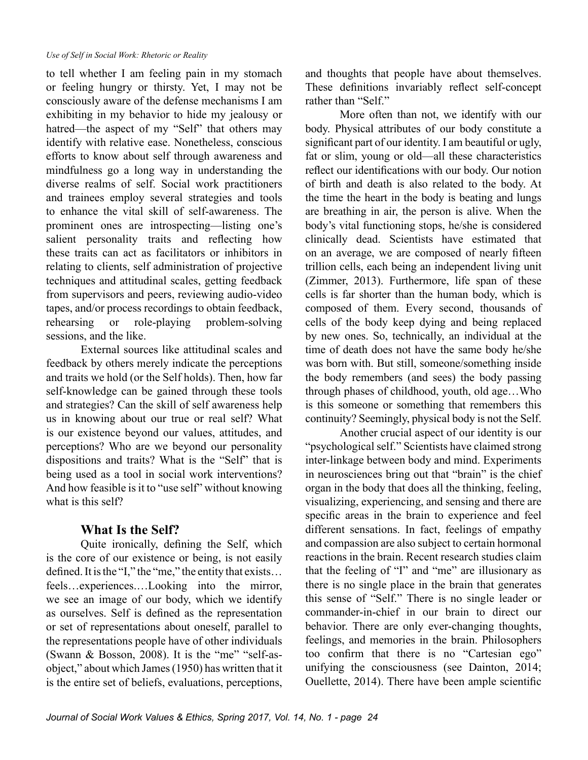to tell whether I am feeling pain in my stomach or feeling hungry or thirsty. Yet, I may not be consciously aware of the defense mechanisms I am exhibiting in my behavior to hide my jealousy or hatred—the aspect of my "Self" that others may identify with relative ease. Nonetheless, conscious efforts to know about self through awareness and mindfulness go a long way in understanding the diverse realms of self. Social work practitioners and trainees employ several strategies and tools to enhance the vital skill of self-awareness. The prominent ones are introspecting—listing one's salient personality traits and reflecting how these traits can act as facilitators or inhibitors in relating to clients, self administration of projective techniques and attitudinal scales, getting feedback from supervisors and peers, reviewing audio-video tapes, and/or process recordings to obtain feedback, rehearsing or role-playing problem-solving sessions, and the like.

External sources like attitudinal scales and feedback by others merely indicate the perceptions and traits we hold (or the Self holds). Then, how far self-knowledge can be gained through these tools and strategies? Can the skill of self awareness help us in knowing about our true or real self? What is our existence beyond our values, attitudes, and perceptions? Who are we beyond our personality dispositions and traits? What is the "Self" that is being used as a tool in social work interventions? And how feasible is it to "use self" without knowing what is this self?

## **What Is the Self?**

Quite ironically, defining the Self, which is the core of our existence or being, is not easily defined. It is the "I," the "me," the entity that exists… feels…experiences.…Looking into the mirror, we see an image of our body, which we identify as ourselves. Self is defined as the representation or set of representations about oneself, parallel to the representations people have of other individuals (Swann & Bosson, 2008). It is the "me" "self-asobject," about which James (1950) has written that it is the entire set of beliefs, evaluations, perceptions,

and thoughts that people have about themselves. These definitions invariably reflect self-concept rather than "Self."

More often than not, we identify with our body. Physical attributes of our body constitute a significant part of our identity. I am beautiful or ugly, fat or slim, young or old—all these characteristics reflect our identifications with our body. Our notion of birth and death is also related to the body. At the time the heart in the body is beating and lungs are breathing in air, the person is alive. When the body's vital functioning stops, he/she is considered clinically dead. Scientists have estimated that on an average, we are composed of nearly fifteen trillion cells, each being an independent living unit (Zimmer, 2013). Furthermore, life span of these cells is far shorter than the human body, which is composed of them. Every second, thousands of cells of the body keep dying and being replaced by new ones. So, technically, an individual at the time of death does not have the same body he/she was born with. But still, someone/something inside the body remembers (and sees) the body passing through phases of childhood, youth, old age…Who is this someone or something that remembers this continuity? Seemingly, physical body is not the Self.

Another crucial aspect of our identity is our "psychological self." Scientists have claimed strong inter-linkage between body and mind. Experiments in neurosciences bring out that "brain" is the chief organ in the body that does all the thinking, feeling, visualizing, experiencing, and sensing and there are specific areas in the brain to experience and feel different sensations. In fact, feelings of empathy and compassion are also subject to certain hormonal reactions in the brain. Recent research studies claim that the feeling of "I" and "me" are illusionary as there is no single place in the brain that generates this sense of "Self." There is no single leader or commander-in-chief in our brain to direct our behavior. There are only ever-changing thoughts, feelings, and memories in the brain. Philosophers too confirm that there is no "Cartesian ego" unifying the consciousness (see Dainton, 2014; Ouellette, 2014). There have been ample scientific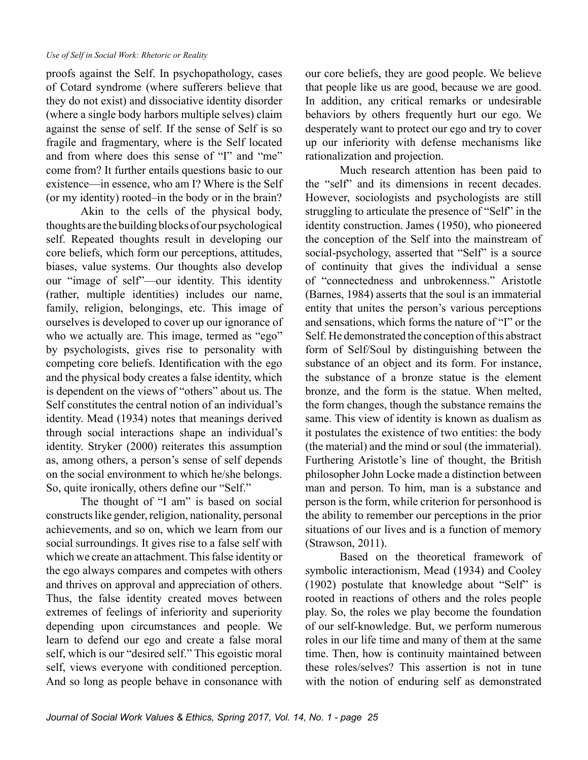proofs against the Self. In psychopathology, cases of Cotard syndrome (where sufferers believe that they do not exist) and dissociative identity disorder (where a single body harbors multiple selves) claim against the sense of self. If the sense of Self is so fragile and fragmentary, where is the Self located and from where does this sense of "I" and "me" come from? It further entails questions basic to our existence—in essence, who am I? Where is the Self (or my identity) rooted–in the body or in the brain?

Akin to the cells of the physical body, thoughts are the building blocks of our psychological self. Repeated thoughts result in developing our core beliefs, which form our perceptions, attitudes, biases, value systems. Our thoughts also develop our "image of self"—our identity. This identity (rather, multiple identities) includes our name, family, religion, belongings, etc. This image of ourselves is developed to cover up our ignorance of who we actually are. This image, termed as "ego" by psychologists, gives rise to personality with competing core beliefs. Identification with the ego and the physical body creates a false identity, which is dependent on the views of "others" about us. The Self constitutes the central notion of an individual's identity. Mead (1934) notes that meanings derived through social interactions shape an individual's identity. Stryker (2000) reiterates this assumption as, among others, a person's sense of self depends on the social environment to which he/she belongs. So, quite ironically, others define our "Self."

The thought of "I am" is based on social constructs like gender, religion, nationality, personal achievements, and so on, which we learn from our social surroundings. It gives rise to a false self with which we create an attachment. This false identity or the ego always compares and competes with others and thrives on approval and appreciation of others. Thus, the false identity created moves between extremes of feelings of inferiority and superiority depending upon circumstances and people. We learn to defend our ego and create a false moral self, which is our "desired self." This egoistic moral self, views everyone with conditioned perception. And so long as people behave in consonance with

our core beliefs, they are good people. We believe that people like us are good, because we are good. In addition, any critical remarks or undesirable behaviors by others frequently hurt our ego. We desperately want to protect our ego and try to cover up our inferiority with defense mechanisms like rationalization and projection.

Much research attention has been paid to the "self" and its dimensions in recent decades. However, sociologists and psychologists are still struggling to articulate the presence of "Self" in the identity construction. James (1950), who pioneered the conception of the Self into the mainstream of social-psychology, asserted that "Self" is a source of continuity that gives the individual a sense of "connectedness and unbrokenness." Aristotle (Barnes, 1984) asserts that the soul is an immaterial entity that unites the person's various perceptions and sensations, which forms the nature of "I" or the Self. He demonstrated the conception of this abstract form of Self/Soul by distinguishing between the substance of an object and its form. For instance, the substance of a bronze statue is the element bronze, and the form is the statue. When melted, the form changes, though the substance remains the same. This view of identity is known as dualism as it postulates the existence of two entities: the body (the material) and the mind or soul (the immaterial). Furthering Aristotle's line of thought, the British philosopher John Locke made a distinction between man and person. To him, man is a substance and person is the form, while criterion for personhood is the ability to remember our perceptions in the prior situations of our lives and is a function of memory (Strawson, 2011).

Based on the theoretical framework of symbolic interactionism, Mead (1934) and Cooley (1902) postulate that knowledge about "Self" is rooted in reactions of others and the roles people play. So, the roles we play become the foundation of our self-knowledge. But, we perform numerous roles in our life time and many of them at the same time. Then, how is continuity maintained between these roles/selves? This assertion is not in tune with the notion of enduring self as demonstrated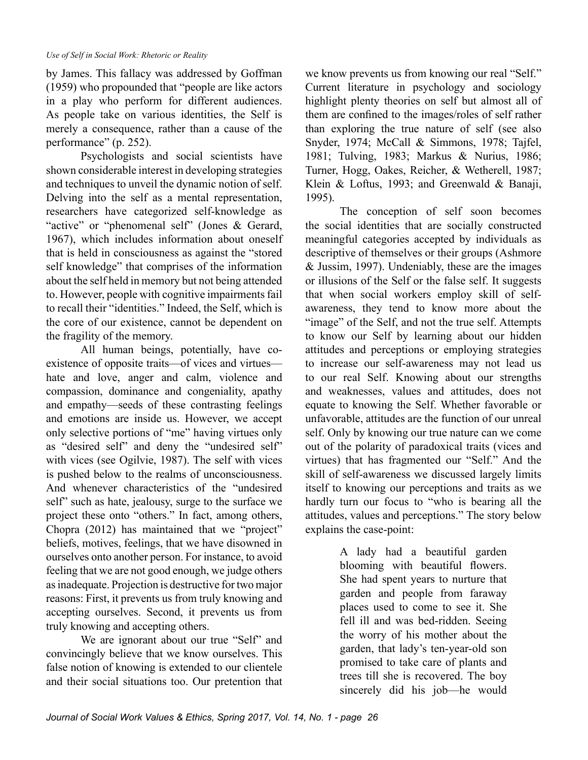by James. This fallacy was addressed by Goffman (1959) who propounded that "people are like actors in a play who perform for different audiences. As people take on various identities, the Self is merely a consequence, rather than a cause of the performance" (p. 252).

Psychologists and social scientists have shown considerable interest in developing strategies and techniques to unveil the dynamic notion of self. Delving into the self as a mental representation, researchers have categorized self-knowledge as "active" or "phenomenal self" (Jones & Gerard, 1967), which includes information about oneself that is held in consciousness as against the "stored self knowledge" that comprises of the information about the self held in memory but not being attended to. However, people with cognitive impairments fail to recall their "identities." Indeed, the Self, which is the core of our existence, cannot be dependent on the fragility of the memory.

All human beings, potentially, have coexistence of opposite traits—of vices and virtues hate and love, anger and calm, violence and compassion, dominance and congeniality, apathy and empathy—seeds of these contrasting feelings and emotions are inside us. However, we accept only selective portions of "me" having virtues only as "desired self" and deny the "undesired self" with vices (see Ogilvie, 1987). The self with vices is pushed below to the realms of unconsciousness. And whenever characteristics of the "undesired self" such as hate, jealousy, surge to the surface we project these onto "others." In fact, among others, Chopra (2012) has maintained that we "project" beliefs, motives, feelings, that we have disowned in ourselves onto another person. For instance, to avoid feeling that we are not good enough, we judge others as inadequate. Projection is destructive for two major reasons: First, it prevents us from truly knowing and accepting ourselves. Second, it prevents us from truly knowing and accepting others.

We are ignorant about our true "Self" and convincingly believe that we know ourselves. This false notion of knowing is extended to our clientele and their social situations too. Our pretention that

we know prevents us from knowing our real "Self." Current literature in psychology and sociology highlight plenty theories on self but almost all of them are confined to the images/roles of self rather than exploring the true nature of self (see also Snyder, 1974; McCall & Simmons, 1978; Tajfel, 1981; Tulving, 1983; Markus & Nurius, 1986; Turner, Hogg, Oakes, Reicher, & Wetherell, 1987; Klein & Loftus, 1993; and Greenwald & Banaji, 1995).

The conception of self soon becomes the social identities that are socially constructed meaningful categories accepted by individuals as descriptive of themselves or their groups (Ashmore & Jussim, 1997). Undeniably, these are the images or illusions of the Self or the false self. It suggests that when social workers employ skill of selfawareness, they tend to know more about the "image" of the Self, and not the true self. Attempts to know our Self by learning about our hidden attitudes and perceptions or employing strategies to increase our self-awareness may not lead us to our real Self. Knowing about our strengths and weaknesses, values and attitudes, does not equate to knowing the Self. Whether favorable or unfavorable, attitudes are the function of our unreal self. Only by knowing our true nature can we come out of the polarity of paradoxical traits (vices and virtues) that has fragmented our "Self." And the skill of self-awareness we discussed largely limits itself to knowing our perceptions and traits as we hardly turn our focus to "who is bearing all the attitudes, values and perceptions." The story below explains the case-point:

> A lady had a beautiful garden blooming with beautiful flowers. She had spent years to nurture that garden and people from faraway places used to come to see it. She fell ill and was bed-ridden. Seeing the worry of his mother about the garden, that lady's ten-year-old son promised to take care of plants and trees till she is recovered. The boy sincerely did his job—he would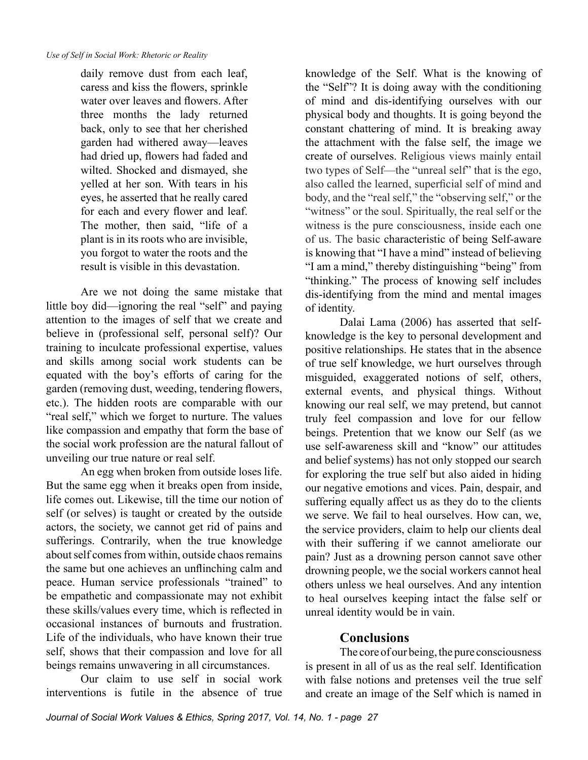daily remove dust from each leaf, caress and kiss the flowers, sprinkle water over leaves and flowers. After three months the lady returned back, only to see that her cherished garden had withered away—leaves had dried up, flowers had faded and wilted. Shocked and dismayed, she yelled at her son. With tears in his eyes, he asserted that he really cared for each and every flower and leaf. The mother, then said, "life of a plant is in its roots who are invisible, you forgot to water the roots and the result is visible in this devastation.

Are we not doing the same mistake that little boy did—ignoring the real "self" and paying attention to the images of self that we create and believe in (professional self, personal self)? Our training to inculcate professional expertise, values and skills among social work students can be equated with the boy's efforts of caring for the garden (removing dust, weeding, tendering flowers, etc.). The hidden roots are comparable with our "real self," which we forget to nurture. The values like compassion and empathy that form the base of the social work profession are the natural fallout of unveiling our true nature or real self.

An egg when broken from outside loses life. But the same egg when it breaks open from inside, life comes out. Likewise, till the time our notion of self (or selves) is taught or created by the outside actors, the society, we cannot get rid of pains and sufferings. Contrarily, when the true knowledge about self comes from within, outside chaos remains the same but one achieves an unflinching calm and peace. Human service professionals "trained" to be empathetic and compassionate may not exhibit these skills/values every time, which is reflected in occasional instances of burnouts and frustration. Life of the individuals, who have known their true self, shows that their compassion and love for all beings remains unwavering in all circumstances.

Our claim to use self in social work interventions is futile in the absence of true

knowledge of the Self. What is the knowing of the "Self"? It is doing away with the conditioning of mind and dis-identifying ourselves with our physical body and thoughts. It is going beyond the constant chattering of mind. It is breaking away the attachment with the false self, the image we create of ourselves. Religious views mainly entail two types of Self—the "unreal self" that is the ego, also called the learned, superficial self of mind and body, and the "real self," the "observing self," or the "witness" or the soul. Spiritually, the real self or the witness is the pure consciousness, inside each one of us. The basic characteristic of being Self-aware is knowing that "I have a mind" instead of believing "I am a mind," thereby distinguishing "being" from "thinking." The process of knowing self includes dis-identifying from the mind and mental images of identity.

Dalai Lama (2006) has asserted that selfknowledge is the key to personal development and positive relationships. He states that in the absence of true self knowledge, we hurt ourselves through misguided, exaggerated notions of self, others, external events, and physical things. Without knowing our real self, we may pretend, but cannot truly feel compassion and love for our fellow beings. Pretention that we know our Self (as we use self-awareness skill and "know" our attitudes and belief systems) has not only stopped our search for exploring the true self but also aided in hiding our negative emotions and vices. Pain, despair, and suffering equally affect us as they do to the clients we serve. We fail to heal ourselves. How can, we, the service providers, claim to help our clients deal with their suffering if we cannot ameliorate our pain? Just as a drowning person cannot save other drowning people, we the social workers cannot heal others unless we heal ourselves. And any intention to heal ourselves keeping intact the false self or unreal identity would be in vain.

## **Conclusions**

The core of our being, the pure consciousness is present in all of us as the real self. Identification with false notions and pretenses veil the true self and create an image of the Self which is named in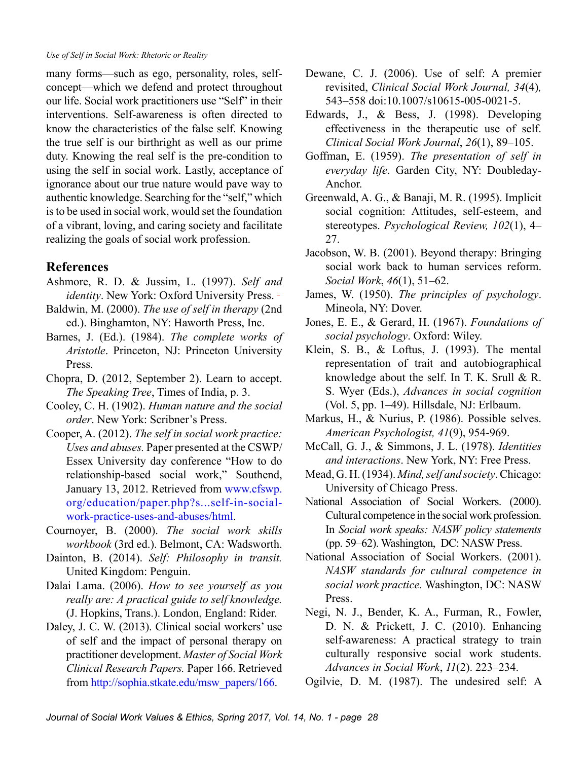many forms—such as ego, personality, roles, selfconcept—which we defend and protect throughout our life. Social work practitioners use "Self" in their interventions. Self-awareness is often directed to know the characteristics of the false self. Knowing the true self is our birthright as well as our prime duty. Knowing the real self is the pre-condition to using the self in social work. Lastly, acceptance of ignorance about our true nature would pave way to authentic knowledge. Searching for the "self," which is to be used in social work, would set the foundation of a vibrant, loving, and caring society and facilitate realizing the goals of social work profession.

### **References**

- Ashmore, R. D. & Jussim, L. (1997). *Self and identity*. New York: Oxford University Press.
- Baldwin, M. (2000). *The use of self in therapy* (2nd ed.). Binghamton, NY: Haworth Press, Inc.
- Barnes, J. (Ed.). (1984). *The complete works of Aristotle*. Princeton, NJ: Princeton University Press.
- Chopra, D. (2012, September 2). Learn to accept. *The Speaking Tree*, Times of India, p. 3.
- Cooley, C. H. (1902). *Human nature and the social order*. New York: Scribner's Press.
- Cooper, A. (2012). *The self in social work practice: Uses and abuses.* Paper presented at the CSWP/ Essex University day conference "How to do relationship-based social work," Southend, January 13, 2012. Retrieved from [www.cfswp.](http://www.cfswp.org/education/paper.php?s...self-in-social-work-practice-uses-and-abuses/html) [org/education/paper.php?s...self-in-social](http://www.cfswp.org/education/paper.php?s...self-in-social-work-practice-uses-and-abuses/html)[work-practice-uses-and-abuses/html.](http://www.cfswp.org/education/paper.php?s...self-in-social-work-practice-uses-and-abuses/html)
- Cournoyer, B. (2000). *The social work skills workbook* (3rd ed.). Belmont, CA: Wadsworth.
- Dainton, B. (2014). *Self: Philosophy in transit.* United Kingdom: Penguin.
- Dalai Lama. (2006). *How to see yourself as you really are: A practical guide to self knowledge.* (J. Hopkins, Trans.). London, England: Rider.
- Daley, J. C. W. (2013). Clinical social workers' use of self and the impact of personal therapy on practitioner development. *Master of Social Work Clinical Research Papers.* Paper 166. Retrieved from [http://sophia.stkate.edu/msw\\_papers/166](http://sophia.stkate.edu/msw_papers/166).
- Dewane, C. J. (2006). Use of self: A premier revisited, *Clinical Social Work Journal, 34*(4)*,*  543–558 doi:10.1007/s10615-005-0021-5.
- Edwards, J., & Bess, J. (1998). Developing effectiveness in the therapeutic use of self. *Clinical Social Work Journal*, *26*(1), 89–105.
- Goffman, E. (1959). *The presentation of self in everyday life*. Garden City, NY: Doubleday-Anchor.
- Greenwald, A. G., & Banaji, M. R. (1995). Implicit social cognition: Attitudes, self-esteem, and stereotypes. *Psychological Review, 102*(1), 4– 27.
- Jacobson, W. B. (2001). Beyond therapy: Bringing social work back to human services reform. *Social Work*, *46*(1), 51–62.
- James, W. (1950). *The principles of psychology*. Mineola, NY: Dover.
- Jones, E. E., & Gerard, H. (1967). *Foundations of social psychology*. Oxford: Wiley.
- Klein, S. B., & Loftus, J. (1993). The mental representation of trait and autobiographical knowledge about the self. In T. K. Srull & R. S. Wyer (Eds.), *Advances in social cognition*  (Vol. 5, pp. 1–49). Hillsdale, NJ: Erlbaum.
- Markus, H., & Nurius, P. (1986). Possible selves. *American Psychologist, 41*(9), 954-969.
- McCall, G. J., & Simmons, J. L. (1978). *Identities and interactions*. New York, NY: Free Press.
- Mead, G. H. (1934). *Mind, self and society*. Chicago: University of Chicago Press.
- National Association of Social Workers. (2000). Cultural competence in the social work profession. In *Social work speaks: NASW policy statements* (pp. 59–62). Washington, DC: NASW Press.
- National Association of Social Workers. (2001). *NASW standards for cultural competence in social work practice.* Washington, DC: NASW Press.
- Negi, N. J., Bender, K. A., Furman, R., Fowler, D. N. & Prickett, J. C. (2010). Enhancing self-awareness: A practical strategy to train culturally responsive social work students. *Advances in Social Work*, *11*(2). 223–234.

Ogilvie, D. M. (1987). The undesired self: A